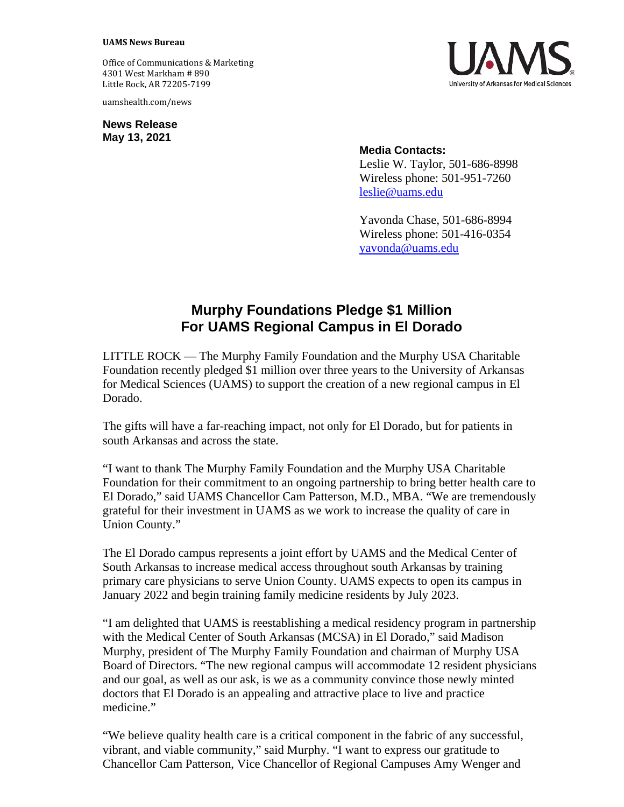## **UAMS News Bureau**

Office of Communications & Marketing 4301 West Markham # 890 Little Rock, AR 72205-7199

uamshealth.com/news

**News Release May 13, 2021**



**Media Contacts:** Leslie W. Taylor, 501-686-8998 Wireless phone: 501-951-7260 [leslie@uams.edu](mailto:leslie@uams.edu)

Yavonda Chase, 501-686-8994 Wireless phone: 501-416-0354 [yavonda@uams.edu](mailto:yavonda@uams.edu)

## **Murphy Foundations Pledge \$1 Million For UAMS Regional Campus in El Dorado**

LITTLE ROCK — The Murphy Family Foundation and the Murphy USA Charitable Foundation recently pledged \$1 million over three years to the University of Arkansas for Medical Sciences (UAMS) to support the creation of a new regional campus in El Dorado.

The gifts will have a far-reaching impact, not only for El Dorado, but for patients in south Arkansas and across the state.

"I want to thank The Murphy Family Foundation and the Murphy USA Charitable Foundation for their commitment to an ongoing partnership to bring better health care to El Dorado," said UAMS Chancellor Cam Patterson, M.D., MBA. "We are tremendously grateful for their investment in UAMS as we work to increase the quality of care in Union County."

The El Dorado campus represents a joint effort by UAMS and the Medical Center of South Arkansas to increase medical access throughout south Arkansas by training primary care physicians to serve Union County. UAMS expects to open its campus in January 2022 and begin training family medicine residents by July 2023.

"I am delighted that UAMS is reestablishing a medical residency program in partnership with the Medical Center of South Arkansas (MCSA) in El Dorado," said Madison Murphy, president of The Murphy Family Foundation and chairman of Murphy USA Board of Directors. "The new regional campus will accommodate 12 resident physicians and our goal, as well as our ask, is we as a community convince those newly minted doctors that El Dorado is an appealing and attractive place to live and practice medicine."

"We believe quality health care is a critical component in the fabric of any successful, vibrant, and viable community," said Murphy. "I want to express our gratitude to Chancellor Cam Patterson, Vice Chancellor of Regional Campuses Amy Wenger and